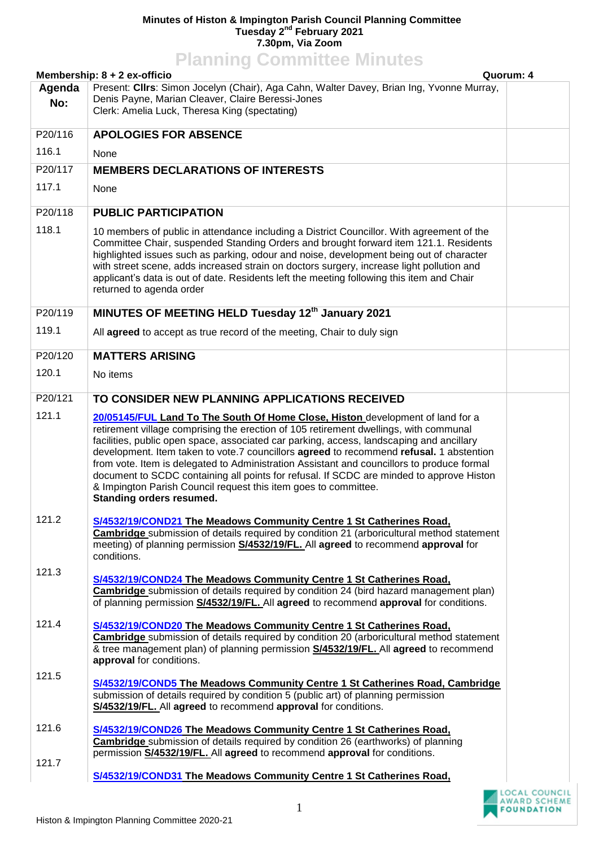## **Minutes of Histon & Impington Parish Council Planning Committee Tuesday 2nd February 2021 7.30pm, Via Zoom**

|                                           | <b>Planning Committee Minutes</b>                                                                                                                                                                                                                                                                                                                                                                                                                                                                                                                                                                                                                              |  |
|-------------------------------------------|----------------------------------------------------------------------------------------------------------------------------------------------------------------------------------------------------------------------------------------------------------------------------------------------------------------------------------------------------------------------------------------------------------------------------------------------------------------------------------------------------------------------------------------------------------------------------------------------------------------------------------------------------------------|--|
| Membership: 8 + 2 ex-officio<br>Quorum: 4 |                                                                                                                                                                                                                                                                                                                                                                                                                                                                                                                                                                                                                                                                |  |
| Agenda                                    | Present: Cllrs: Simon Jocelyn (Chair), Aga Cahn, Walter Davey, Brian Ing, Yvonne Murray,                                                                                                                                                                                                                                                                                                                                                                                                                                                                                                                                                                       |  |
| No:                                       | Denis Payne, Marian Cleaver, Claire Beressi-Jones<br>Clerk: Amelia Luck, Theresa King (spectating)                                                                                                                                                                                                                                                                                                                                                                                                                                                                                                                                                             |  |
| P20/116                                   | <b>APOLOGIES FOR ABSENCE</b>                                                                                                                                                                                                                                                                                                                                                                                                                                                                                                                                                                                                                                   |  |
| 116.1                                     | None                                                                                                                                                                                                                                                                                                                                                                                                                                                                                                                                                                                                                                                           |  |
| P20/117                                   | <b>MEMBERS DECLARATIONS OF INTERESTS</b>                                                                                                                                                                                                                                                                                                                                                                                                                                                                                                                                                                                                                       |  |
| 117.1                                     | None                                                                                                                                                                                                                                                                                                                                                                                                                                                                                                                                                                                                                                                           |  |
| P20/118                                   | <b>PUBLIC PARTICIPATION</b>                                                                                                                                                                                                                                                                                                                                                                                                                                                                                                                                                                                                                                    |  |
| 118.1                                     | 10 members of public in attendance including a District Councillor. With agreement of the<br>Committee Chair, suspended Standing Orders and brought forward item 121.1. Residents<br>highlighted issues such as parking, odour and noise, development being out of character<br>with street scene, adds increased strain on doctors surgery, increase light pollution and<br>applicant's data is out of date. Residents left the meeting following this item and Chair<br>returned to agenda order                                                                                                                                                             |  |
| P20/119                                   | MINUTES OF MEETING HELD Tuesday 12th January 2021                                                                                                                                                                                                                                                                                                                                                                                                                                                                                                                                                                                                              |  |
| 119.1                                     | All agreed to accept as true record of the meeting, Chair to duly sign                                                                                                                                                                                                                                                                                                                                                                                                                                                                                                                                                                                         |  |
| P20/120                                   | <b>MATTERS ARISING</b>                                                                                                                                                                                                                                                                                                                                                                                                                                                                                                                                                                                                                                         |  |
| 120.1                                     | No items                                                                                                                                                                                                                                                                                                                                                                                                                                                                                                                                                                                                                                                       |  |
| P20/121                                   | TO CONSIDER NEW PLANNING APPLICATIONS RECEIVED                                                                                                                                                                                                                                                                                                                                                                                                                                                                                                                                                                                                                 |  |
| 121.1                                     | 20/05145/FUL Land To The South Of Home Close, Histon development of land for a<br>retirement village comprising the erection of 105 retirement dwellings, with communal<br>facilities, public open space, associated car parking, access, landscaping and ancillary<br>development. Item taken to vote.7 councillors agreed to recommend refusal. 1 abstention<br>from vote. Item is delegated to Administration Assistant and councillors to produce formal<br>document to SCDC containing all points for refusal. If SCDC are minded to approve Histon<br>& Impington Parish Council request this item goes to committee.<br><b>Standing orders resumed.</b> |  |
| 121.2                                     | S/4532/19/COND21 The Meadows Community Centre 1 St Catherines Road,<br>Cambridge submission of details required by condition 21 (arboricultural method statement<br>meeting) of planning permission <b>S/4532/19/FL.</b> All agreed to recommend approval for<br>conditions.                                                                                                                                                                                                                                                                                                                                                                                   |  |
| 121.3                                     | S/4532/19/COND24 The Meadows Community Centre 1 St Catherines Road,<br>Cambridge submission of details required by condition 24 (bird hazard management plan)<br>of planning permission S/4532/19/FL. All agreed to recommend approval for conditions.                                                                                                                                                                                                                                                                                                                                                                                                         |  |
| 121.4                                     | S/4532/19/COND20 The Meadows Community Centre 1 St Catherines Road,<br>Cambridge submission of details required by condition 20 (arboricultural method statement<br>& tree management plan) of planning permission S/4532/19/FL. All agreed to recommend<br>approval for conditions.                                                                                                                                                                                                                                                                                                                                                                           |  |
| 121.5                                     | S/4532/19/COND5 The Meadows Community Centre 1 St Catherines Road, Cambridge<br>submission of details required by condition 5 (public art) of planning permission<br>S/4532/19/FL. All agreed to recommend approval for conditions.                                                                                                                                                                                                                                                                                                                                                                                                                            |  |
| 121.6                                     | S/4532/19/COND26 The Meadows Community Centre 1 St Catherines Road,<br><b>Cambridge</b> submission of details required by condition 26 (earthworks) of planning<br>permission S/4532/19/FL. All agreed to recommend approval for conditions.                                                                                                                                                                                                                                                                                                                                                                                                                   |  |
| 121.7                                     | S/4532/19/COND31 The Meadows Community Centre 1 St Catherines Road,                                                                                                                                                                                                                                                                                                                                                                                                                                                                                                                                                                                            |  |